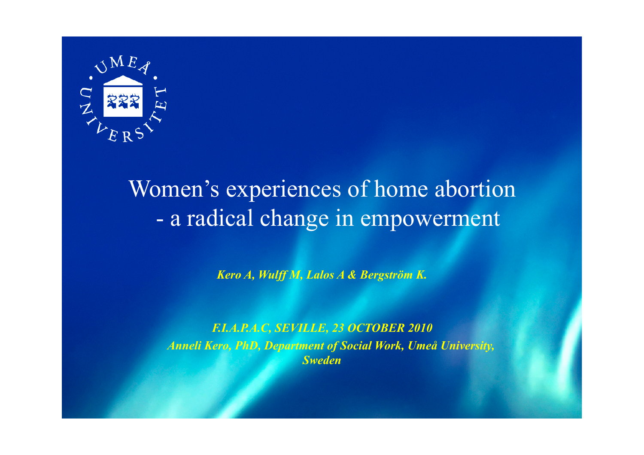

# Women's experiences of home abortion - a radical change in empowerment

*Kero A, Wulff M, Lalos A & Bergström K.* 

*F.I.A.P.A.C, SEVILLE, 23 OCTOBER 2010 Anneli Kero, PhD, Department of Social Work, Umeå University, Sweden*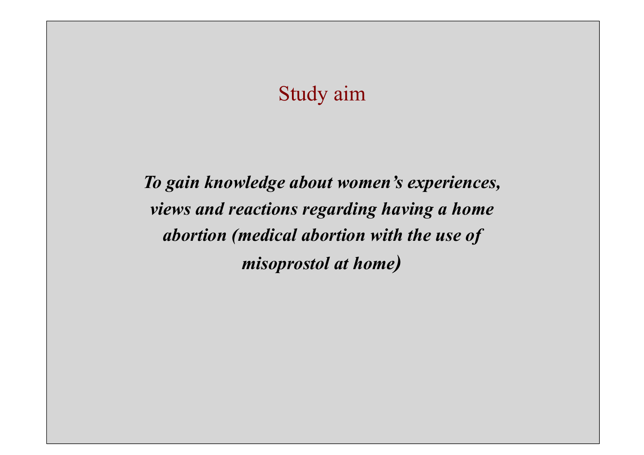### Study aim

*To gain knowledge about women's experiences, views and reactions regarding having a home abortion (medical abortion with the use of misoprostol at home)*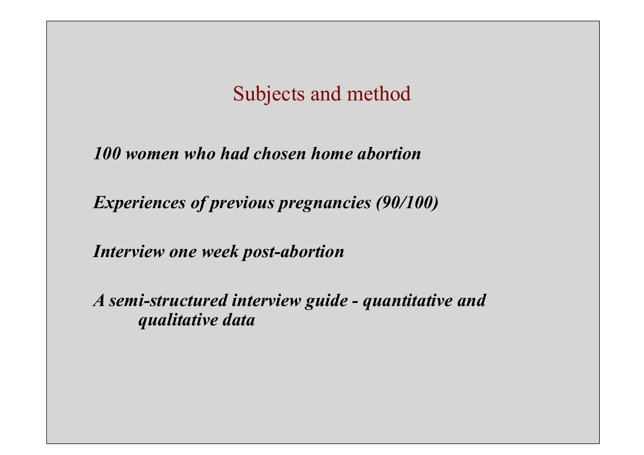### Subjects and method

*100 women who had chosen home abortion* 

*Experiences of previous pregnancies (90/100)* 

*Interview one week post-abortion* 

*A semi-structured interview guide - quantitative and qualitative data*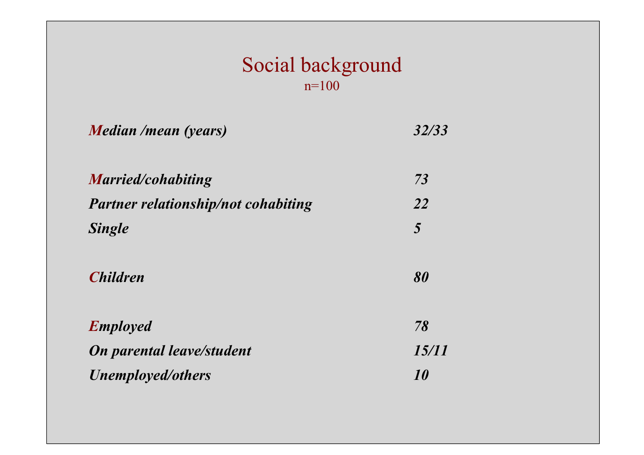#### Social background n=100

| Median /mean (years)                | 32/33            |
|-------------------------------------|------------------|
| <b>Married/cohabiting</b>           | 73               |
| Partner relationship/not cohabiting | 22               |
| <b>Single</b>                       | 5                |
| <b>Children</b>                     | 80               |
| <b>Employed</b>                     | 78               |
| <b>On parental leave/student</b>    | <i>15/11</i>     |
| <b>Unemployed/others</b>            | <i><b>10</b></i> |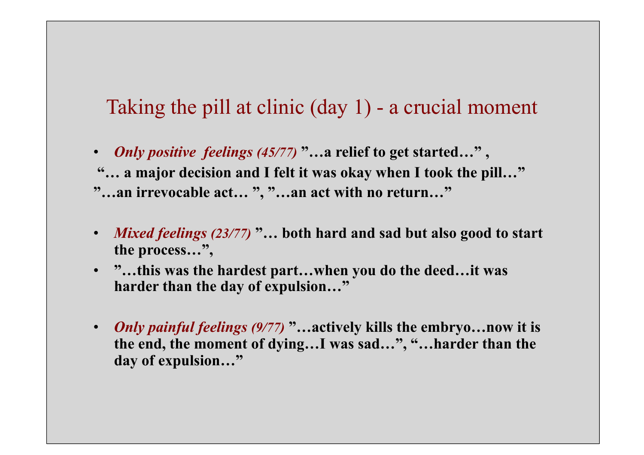### Taking the pill at clinic (day 1) - a crucial moment

- *Only positive feelings (45/77)* **"…a relief to get started…" ,**
- **"… a major decision and I felt it was okay when I took the pill…"**
- **"…an irrevocable act… ", "…an act with no return…"**
- *Mixed feelings (23/77)* **"… both hard and sad but also good to start the process…",**
- **"…this was the hardest part…when you do the deed…it was harder than the day of expulsion…"**
- *Only painful feelings (9/77)* **"…actively kills the embryo…now it is the end, the moment of dying…I was sad…", "…harder than the day of expulsion…"**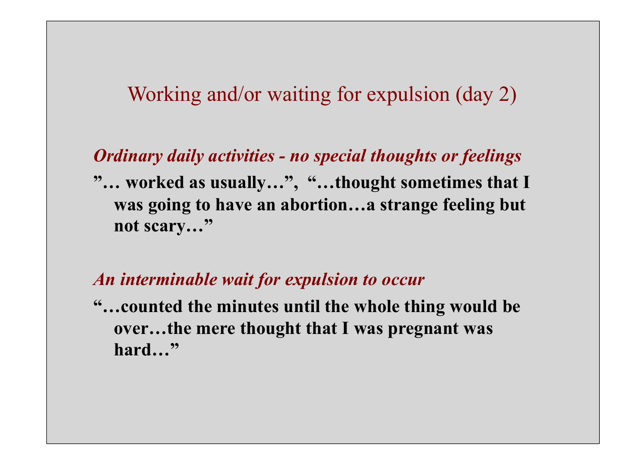### Working and/or waiting for expulsion (day 2)

#### *Ordinary daily activities - no special thoughts or feelings*

**"… worked as usually…", "…thought sometimes that I was going to have an abortion…a strange feeling but not scary…"** 

#### *An interminable wait for expulsion to occur*

**"…counted the minutes until the whole thing would be over…the mere thought that I was pregnant was hard…"**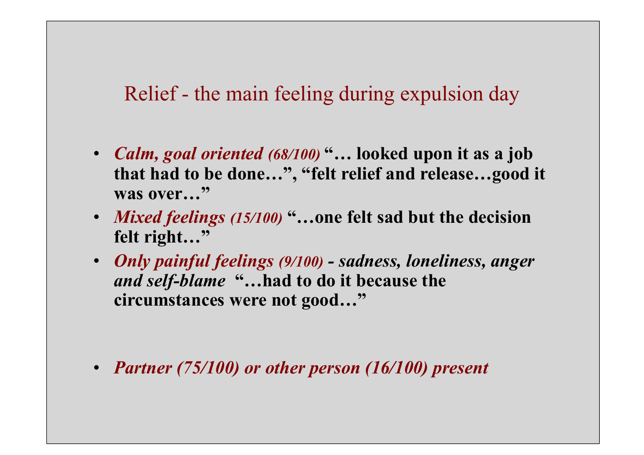Relief - the main feeling during expulsion day

- *Calm, goal oriented (68/100)* **"… looked upon it as a job that had to be done…", "felt relief and release…good it**  was over..."
- *Mixed feelings (15/100)* **"…one felt sad but the decision felt right…"**
- *Only painful feelings (9/100) sadness, loneliness, anger and self-blame* **"…had to do it because the circumstances were not good…"**

• *Partner (75/100) or other person (16/100) present*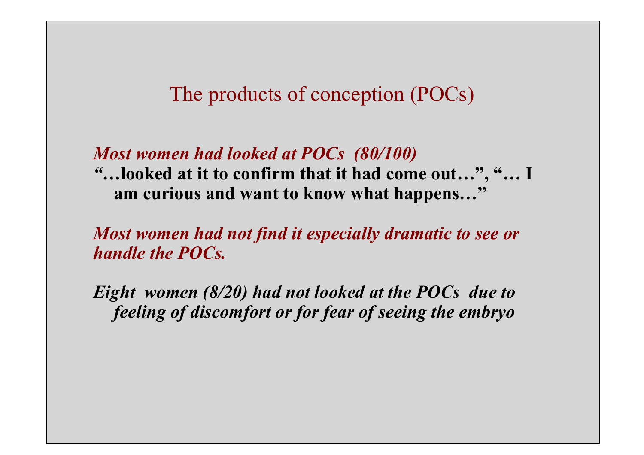### The products of conception (POCs)

#### *Most women had looked at POCs (80/100)*

*"…***looked at it to confirm that it had come out…", "… I am curious and want to know what happens…"** 

*Most women had not find it especially dramatic to see or handle the POCs.* 

*Eight women (8/20) had not looked at the POCs due to feeling of discomfort or for fear of seeing the embryo*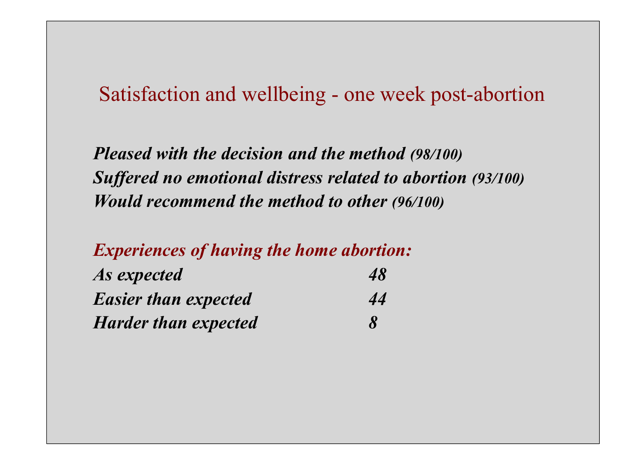Satisfaction and wellbeing - one week post-abortion

*Pleased with the decision and the method (98/100) Suffered no emotional distress related to abortion (93/100) Would recommend the method to other (96/100)* 

*Experiences of having the home abortion:* 

| As expected                 | 48                         |
|-----------------------------|----------------------------|
| <b>Easier than expected</b> | 44                         |
| <b>Harder than expected</b> | $\boldsymbol{\mathcal{S}}$ |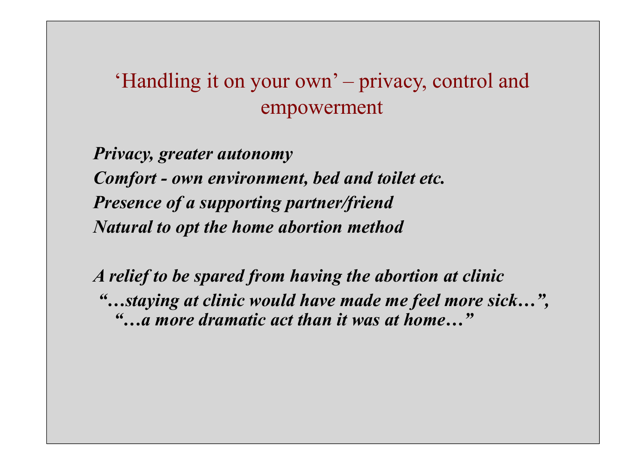# 'Handling it on your own' – privacy, control and empowerment

*Privacy, greater autonomy Comfort - own environment, bed and toilet etc. Presence of a supporting partner/friend Natural to opt the home abortion method* 

*A relief to be spared from having the abortion at clinic "…staying at clinic would have made me feel more sick…", "…a more dramatic act than it was at home…"*